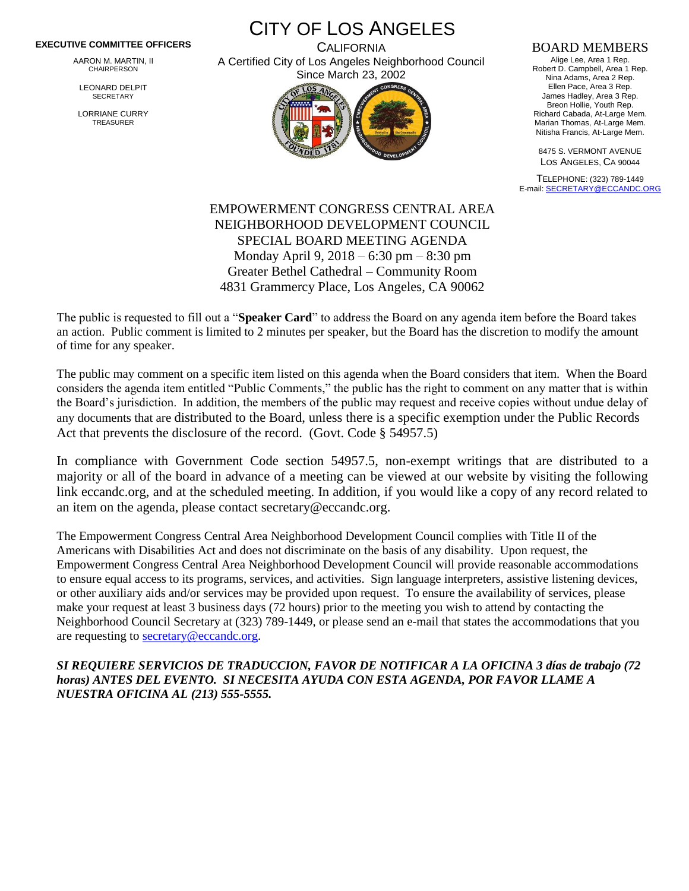## **EXECUTIVE COMMITTEE OFFICERS**

AARON M. MARTIN, II CHAIRPERSON

LEONARD DELPIT **SECRETARY** 

LORRIANE CURRY TREASURER

CITY OF LOS ANGELES **CALIFORNIA** 

A Certified City of Los Angeles Neighborhood Council Since March 23, 2002



## BOARD MEMBERS

Alige Lee, Area 1 Rep. Robert D. Campbell, Area 1 Rep. Nina Adams, Area 2 Rep. Ellen Pace, Area 3 Rep. James Hadley, Area 3 Rep. Breon Hollie, Youth Rep. Richard Cabada, At-Large Mem. Marian Thomas, At-Large Mem. Nitisha Francis, At-Large Mem.

8475 S. VERMONT AVENUE LOS ANGELES, CA 90044

TELEPHONE: (323) 789-1449 E-mail[: SECRETARY@ECCANDC.ORG](mailto:SECRETARY@ECCANDC.ORG)

## EMPOWERMENT CONGRESS CENTRAL AREA NEIGHBORHOOD DEVELOPMENT COUNCIL SPECIAL BOARD MEETING AGENDA Monday April 9, 2018 – 6:30 pm – 8:30 pm Greater Bethel Cathedral – Community Room 4831 Grammercy Place, Los Angeles, CA 90062

The public is requested to fill out a "**Speaker Card**" to address the Board on any agenda item before the Board takes an action. Public comment is limited to 2 minutes per speaker, but the Board has the discretion to modify the amount of time for any speaker.

The public may comment on a specific item listed on this agenda when the Board considers that item. When the Board considers the agenda item entitled "Public Comments," the public has the right to comment on any matter that is within the Board's jurisdiction. In addition, the members of the public may request and receive copies without undue delay of any documents that are distributed to the Board, unless there is a specific exemption under the Public Records Act that prevents the disclosure of the record. (Govt. Code § 54957.5)

In compliance with Government Code section 54957.5, non-exempt writings that are distributed to a majority or all of the board in advance of a meeting can be viewed at our website by visiting the following link eccandc.org, and at the scheduled meeting. In addition, if you would like a copy of any record related to an item on the agenda, please contact secretary@eccandc.org.

The Empowerment Congress Central Area Neighborhood Development Council complies with Title II of the Americans with Disabilities Act and does not discriminate on the basis of any disability. Upon request, the Empowerment Congress Central Area Neighborhood Development Council will provide reasonable accommodations to ensure equal access to its programs, services, and activities. Sign language interpreters, assistive listening devices, or other auxiliary aids and/or services may be provided upon request. To ensure the availability of services, please make your request at least 3 business days (72 hours) prior to the meeting you wish to attend by contacting the Neighborhood Council Secretary at (323) 789-1449, or please send an e-mail that states the accommodations that you are requesting to [secretary@eccandc.org.](mailto:secretary@eccandc.org)

*SI REQUIERE SERVICIOS DE TRADUCCION, FAVOR DE NOTIFICAR A LA OFICINA 3 días de trabajo (72 horas) ANTES DEL EVENTO. SI NECESITA AYUDA CON ESTA AGENDA, POR FAVOR LLAME A NUESTRA OFICINA AL (213) 555-5555.*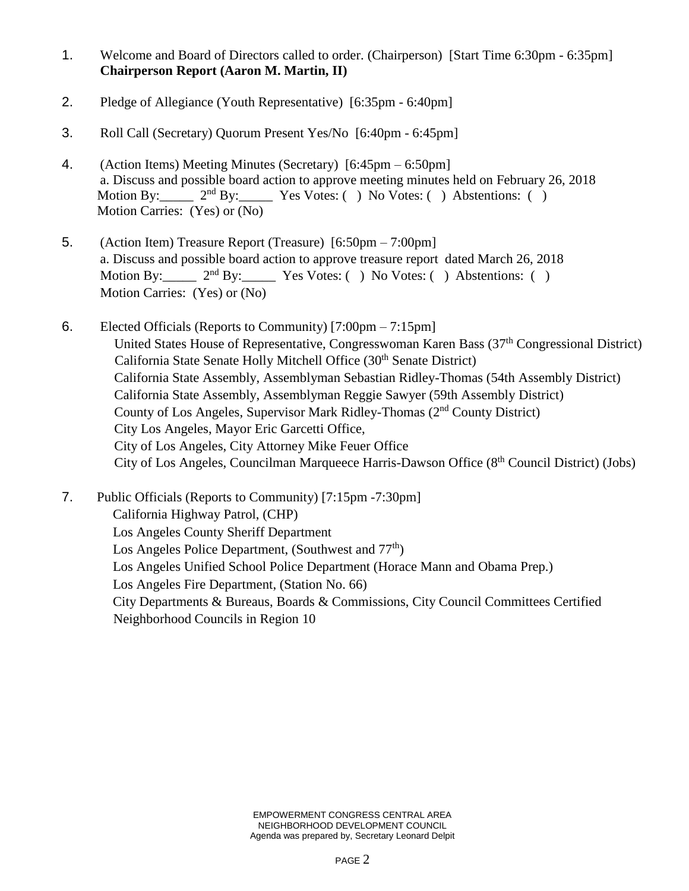- 1. Welcome and Board of Directors called to order. (Chairperson) [Start Time 6:30pm 6:35pm] **Chairperson Report (Aaron M. Martin, II)**
- 2. Pledge of Allegiance (Youth Representative) [6:35pm 6:40pm]
- 3. Roll Call (Secretary) Quorum Present Yes/No [6:40pm 6:45pm]
- 4. (Action Items) Meeting Minutes (Secretary) [6:45pm 6:50pm] a. Discuss and possible board action to approve meeting minutes held on February 26, 2018<br>Motion By:  $2^{nd}$  By: Yes Votes: () No Votes: () Abstentions: ()  $2<sup>nd</sup> By:$  Yes Votes: ( ) No Votes: ( ) Abstentions: ( ) Motion Carries: (Yes) or (No)
- 5. (Action Item) Treasure Report (Treasure) [6:50pm 7:00pm] a. Discuss and possible board action to approve treasure report dated March 26, 2018 Motion By: 2<sup>nd</sup> By: Yes Votes: ( ) No Votes: ( ) Abstentions: ( ) Motion Carries: (Yes) or (No)
- 6. Elected Officials (Reports to Community) [7:00pm 7:15pm] United States House of Representative, Congresswoman Karen Bass (37<sup>th</sup> Congressional District) California State Senate Holly Mitchell Office (30<sup>th</sup> Senate District) California State Assembly, Assemblyman Sebastian Ridley-Thomas (54th Assembly District) California State Assembly, Assemblyman Reggie Sawyer (59th Assembly District) County of Los Angeles, Supervisor Mark Ridley-Thomas (2nd County District) City Los Angeles, Mayor Eric Garcetti Office, City of Los Angeles, City Attorney Mike Feuer Office City of Los Angeles, Councilman Marqueece Harris-Dawson Office (8<sup>th</sup> Council District) (Jobs)

7. Public Officials (Reports to Community) [7:15pm -7:30pm] California Highway Patrol, (CHP) Los Angeles County Sheriff Department Los Angeles Police Department, (Southwest and  $77<sup>th</sup>$ ) Los Angeles Unified School Police Department (Horace Mann and Obama Prep.) Los Angeles Fire Department, (Station No. 66) City Departments & Bureaus, Boards & Commissions, City Council Committees Certified Neighborhood Councils in Region 10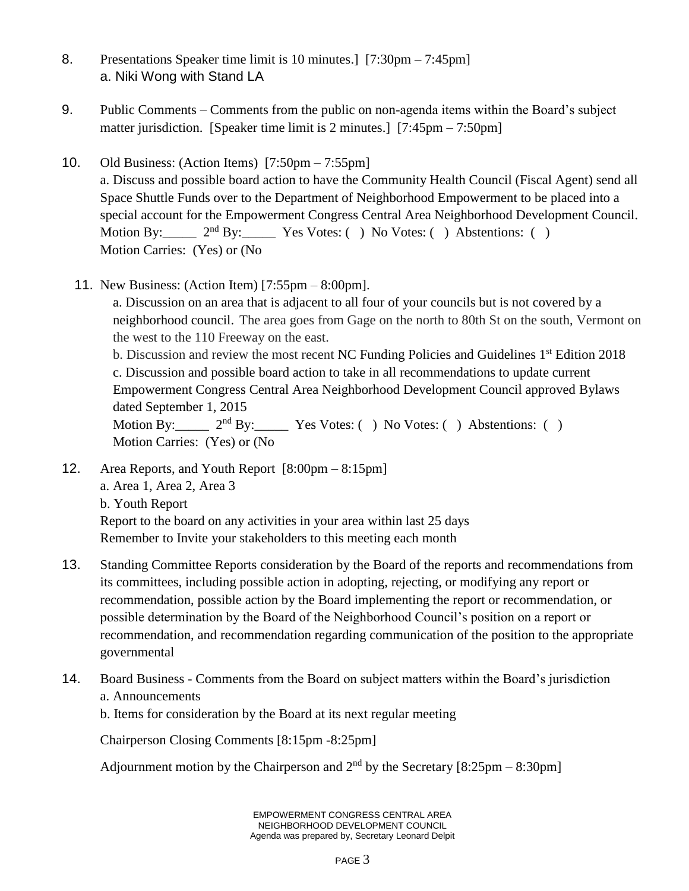- 8. Presentations Speaker time limit is 10 minutes.] [7:30pm 7:45pm] a. Niki Wong with Stand LA
- 9. Public Comments Comments from the public on non-agenda items within the Board's subject matter jurisdiction. [Speaker time limit is 2 minutes.] [7:45pm – 7:50pm]
- 10. Old Business: (Action Items) [7:50pm 7:55pm]

a. Discuss and possible board action to have the Community Health Council (Fiscal Agent) send all Space Shuttle Funds over to the Department of Neighborhood Empowerment to be placed into a special account for the Empowerment Congress Central Area Neighborhood Development Council. Motion By:  $2<sup>nd</sup>$  By: Yes Votes: ( ) No Votes: ( ) Abstentions: ( ) Motion Carries: (Yes) or (No

11. New Business: (Action Item) [7:55pm – 8:00pm].

a. Discussion on an area that is adjacent to all four of your councils but is not covered by a neighborhood council. The area goes from Gage on the north to 80th St on the south, Vermont on the west to the 110 Freeway on the east.

b. Discussion and review the most recent NC Funding Policies and Guidelines 1<sup>st</sup> Edition 2018 c. Discussion and possible board action to take in all recommendations to update current Empowerment Congress Central Area Neighborhood Development Council approved Bylaws dated September 1, 2015

```
Motion By: 2<sup>nd</sup> By: Yes Votes: ( ) No Votes: ( ) Abstentions: ( )Motion Carries: (Yes) or (No
```
- 12. Area Reports, and Youth Report [8:00pm 8:15pm] a. Area 1, Area 2, Area 3 b. Youth Report Report to the board on any activities in your area within last 25 days Remember to Invite your stakeholders to this meeting each month
- 13. Standing Committee Reports consideration by the Board of the reports and recommendations from its committees, including possible action in adopting, rejecting, or modifying any report or recommendation, possible action by the Board implementing the report or recommendation, or possible determination by the Board of the Neighborhood Council's position on a report or recommendation, and recommendation regarding communication of the position to the appropriate governmental
- 14. Board Business Comments from the Board on subject matters within the Board's jurisdiction a. Announcements

b. Items for consideration by the Board at its next regular meeting

Chairperson Closing Comments [8:15pm -8:25pm]

Adjournment motion by the Chairperson and  $2<sup>nd</sup>$  by the Secretary [8:25pm – 8:30pm]